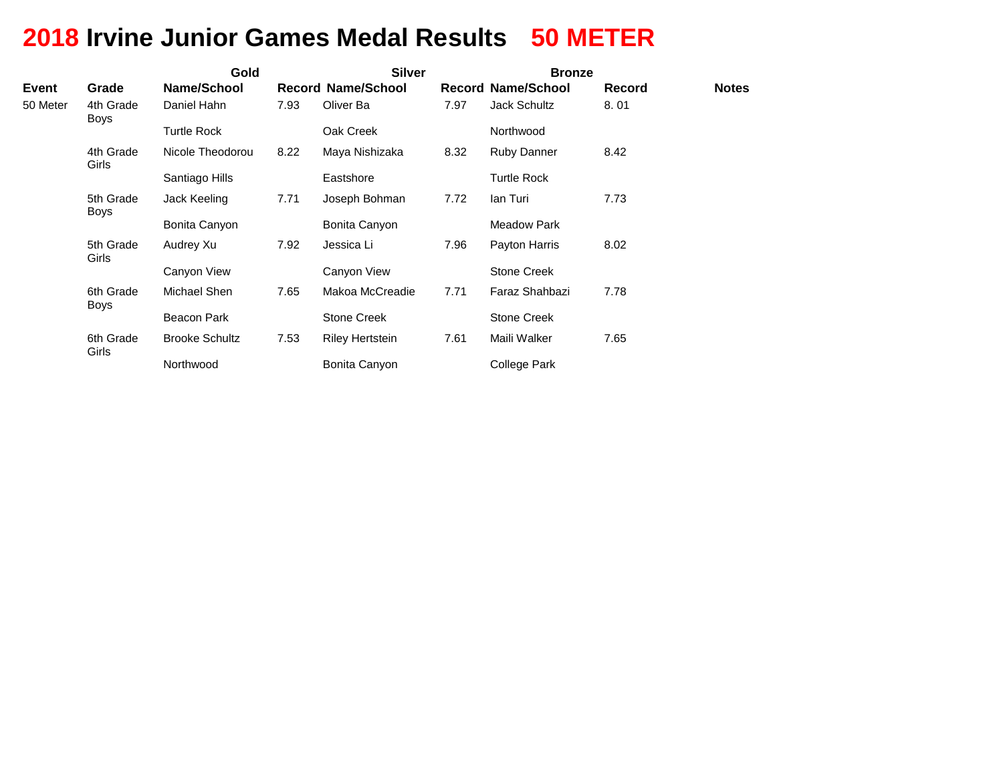# **2018 Irvine Junior Games Medal Results 50 METER**

|          |                          | Gold                  |      | <b>Silver</b>             |      | <b>Bronze</b>             |               |              |
|----------|--------------------------|-----------------------|------|---------------------------|------|---------------------------|---------------|--------------|
| Event    | Grade                    | Name/School           |      | <b>Record Name/School</b> |      | <b>Record Name/School</b> | <b>Record</b> | <b>Notes</b> |
| 50 Meter | 4th Grade<br><b>Boys</b> | Daniel Hahn           | 7.93 | Oliver Ba                 | 7.97 | <b>Jack Schultz</b>       | 8.01          |              |
|          |                          | <b>Turtle Rock</b>    |      | Oak Creek                 |      | Northwood                 |               |              |
|          | 4th Grade<br>Girls       | Nicole Theodorou      | 8.22 | Maya Nishizaka            | 8.32 | <b>Ruby Danner</b>        | 8.42          |              |
|          |                          | Santiago Hills        |      | Eastshore                 |      | <b>Turtle Rock</b>        |               |              |
|          | 5th Grade<br><b>Boys</b> | Jack Keeling          | 7.71 | Joseph Bohman             | 7.72 | lan Turi                  | 7.73          |              |
|          |                          | Bonita Canyon         |      | Bonita Canyon             |      | <b>Meadow Park</b>        |               |              |
|          | 5th Grade<br>Girls       | Audrey Xu             | 7.92 | Jessica Li                | 7.96 | Payton Harris             | 8.02          |              |
|          |                          | Canyon View           |      | Canyon View               |      | <b>Stone Creek</b>        |               |              |
|          | 6th Grade<br><b>Boys</b> | Michael Shen          | 7.65 | Makoa McCreadie           | 7.71 | Faraz Shahbazi            | 7.78          |              |
|          |                          | Beacon Park           |      | Stone Creek               |      | <b>Stone Creek</b>        |               |              |
|          | 6th Grade<br>Girls       | <b>Brooke Schultz</b> | 7.53 | <b>Riley Hertstein</b>    | 7.61 | Maili Walker              | 7.65          |              |
|          |                          | Northwood             |      | Bonita Canyon             |      | College Park              |               |              |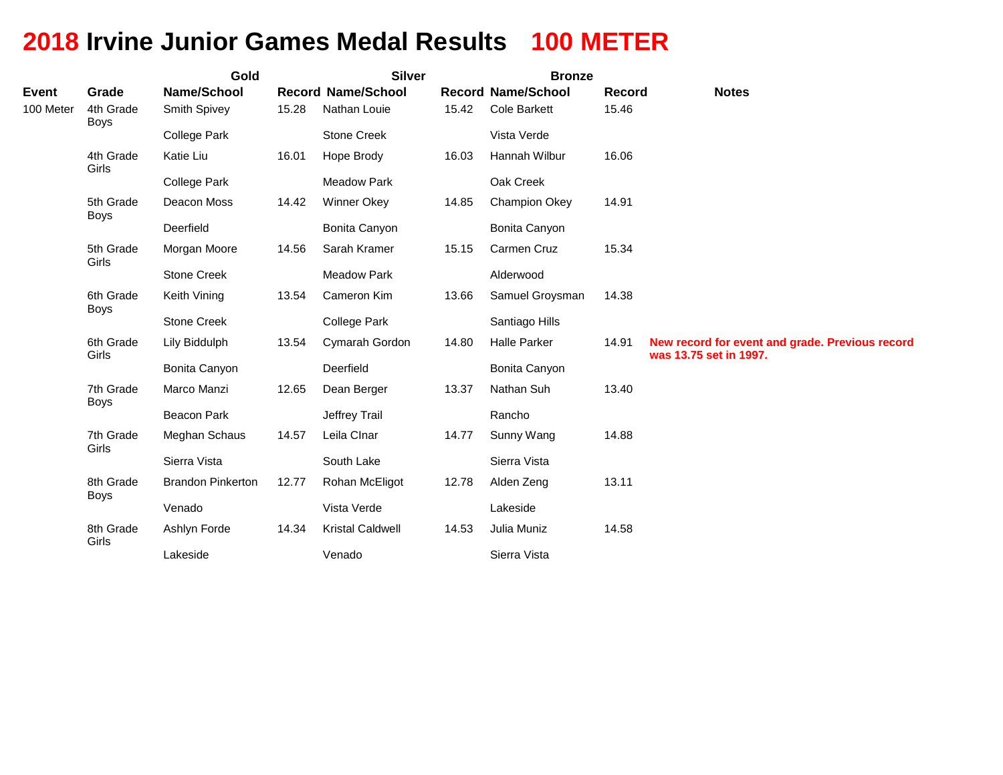# **2018 Irvine Junior Games Medal Results 100 METER**

|              |                          | Gold                     |       | <b>Silver</b>             |       | <b>Bronze</b>             |        |                                                                           |
|--------------|--------------------------|--------------------------|-------|---------------------------|-------|---------------------------|--------|---------------------------------------------------------------------------|
| <b>Event</b> | Grade                    | Name/School              |       | <b>Record Name/School</b> |       | <b>Record Name/School</b> | Record | <b>Notes</b>                                                              |
| 100 Meter    | 4th Grade<br><b>Boys</b> | Smith Spivey             | 15.28 | Nathan Louie              | 15.42 | <b>Cole Barkett</b>       | 15.46  |                                                                           |
|              |                          | <b>College Park</b>      |       | <b>Stone Creek</b>        |       | Vista Verde               |        |                                                                           |
|              | 4th Grade<br>Girls       | Katie Liu                | 16.01 | Hope Brody                | 16.03 | Hannah Wilbur             | 16.06  |                                                                           |
|              |                          | <b>College Park</b>      |       | <b>Meadow Park</b>        |       | Oak Creek                 |        |                                                                           |
|              | 5th Grade<br><b>Boys</b> | Deacon Moss              | 14.42 | <b>Winner Okey</b>        | 14.85 | Champion Okey             | 14.91  |                                                                           |
|              |                          | Deerfield                |       | Bonita Canyon             |       | Bonita Canyon             |        |                                                                           |
|              | 5th Grade<br>Girls       | Morgan Moore             | 14.56 | Sarah Kramer              | 15.15 | Carmen Cruz               | 15.34  |                                                                           |
|              |                          | <b>Stone Creek</b>       |       | <b>Meadow Park</b>        |       | Alderwood                 |        |                                                                           |
|              | 6th Grade<br><b>Boys</b> | Keith Vining             | 13.54 | Cameron Kim               | 13.66 | Samuel Groysman           | 14.38  |                                                                           |
|              |                          | <b>Stone Creek</b>       |       | <b>College Park</b>       |       | Santiago Hills            |        |                                                                           |
|              | 6th Grade<br>Girls       | Lily Biddulph            | 13.54 | Cymarah Gordon            | 14.80 | <b>Halle Parker</b>       | 14.91  | New record for event and grade. Previous record<br>was 13.75 set in 1997. |
|              |                          | Bonita Canyon            |       | Deerfield                 |       | Bonita Canyon             |        |                                                                           |
|              | 7th Grade<br><b>Boys</b> | Marco Manzi              | 12.65 | Dean Berger               | 13.37 | Nathan Suh                | 13.40  |                                                                           |
|              |                          | <b>Beacon Park</b>       |       | Jeffrey Trail             |       | Rancho                    |        |                                                                           |
|              | 7th Grade<br>Girls       | Meghan Schaus            | 14.57 | Leila Clnar               | 14.77 | Sunny Wang                | 14.88  |                                                                           |
|              |                          | Sierra Vista             |       | South Lake                |       | Sierra Vista              |        |                                                                           |
|              | 8th Grade<br><b>Boys</b> | <b>Brandon Pinkerton</b> | 12.77 | Rohan McEligot            | 12.78 | Alden Zeng                | 13.11  |                                                                           |
|              |                          | Venado                   |       | Vista Verde               |       | Lakeside                  |        |                                                                           |
|              | 8th Grade<br>Girls       | Ashlyn Forde             | 14.34 | <b>Kristal Caldwell</b>   | 14.53 | Julia Muniz               | 14.58  |                                                                           |
|              |                          | Lakeside                 |       | Venado                    |       | Sierra Vista              |        |                                                                           |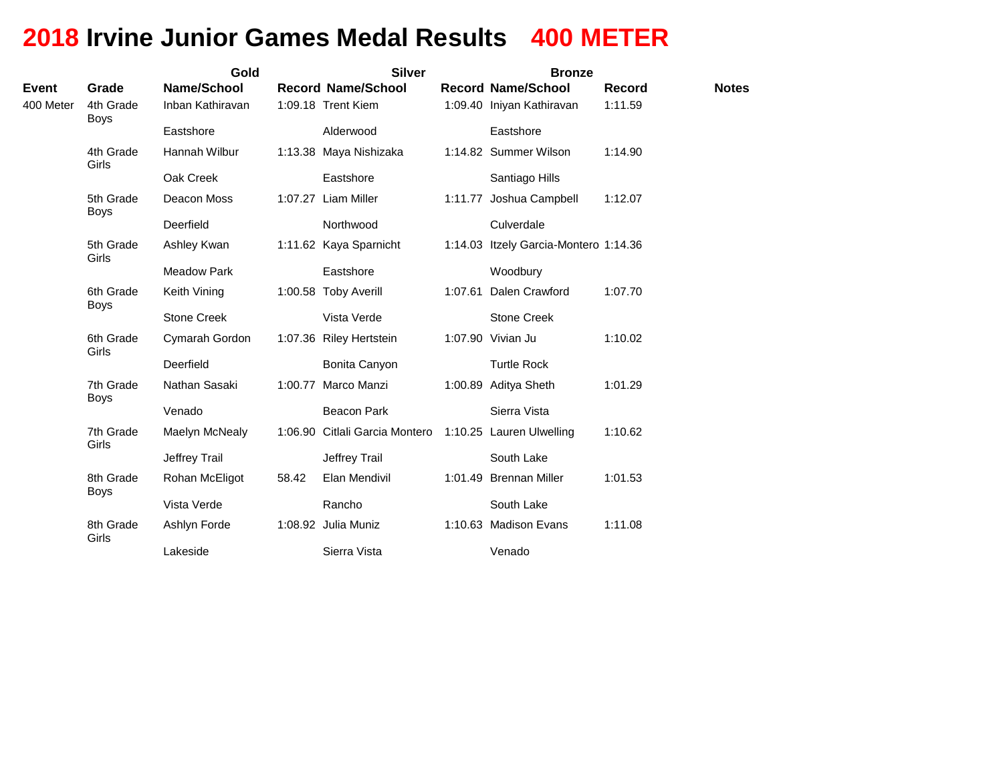# **2018 Irvine Junior Games Medal Results 400 METER**

|                           |                          | Gold                            | <b>Silver</b> | <b>Bronze</b>                                   |                                                        |                                          |  |
|---------------------------|--------------------------|---------------------------------|---------------|-------------------------------------------------|--------------------------------------------------------|------------------------------------------|--|
| <b>Event</b><br>400 Meter | Grade<br>4th Grade       | Name/School<br>Inban Kathiravan |               | <b>Record Name/School</b><br>1:09.18 Trent Kiem | <b>Record Name/School</b><br>1:09.40 Iniyan Kathiravan | <b>Record</b><br><b>Notes</b><br>1:11.59 |  |
|                           | <b>Boys</b>              | Eastshore                       |               | Alderwood                                       | Eastshore                                              |                                          |  |
|                           | 4th Grade<br>Girls       | Hannah Wilbur                   |               | 1:13.38 Maya Nishizaka                          | 1:14.82 Summer Wilson                                  | 1:14.90                                  |  |
|                           |                          | Oak Creek                       |               | Eastshore                                       | Santiago Hills                                         |                                          |  |
|                           | 5th Grade<br><b>Boys</b> | Deacon Moss                     |               | 1:07.27 Liam Miller                             | 1:11.77 Joshua Campbell                                | 1:12.07                                  |  |
|                           |                          | Deerfield                       |               | Northwood                                       | Culverdale                                             |                                          |  |
|                           | 5th Grade<br>Girls       | Ashley Kwan                     |               | 1:11.62 Kaya Sparnicht                          | 1:14.03 Itzely Garcia-Montero 1:14.36                  |                                          |  |
|                           |                          | <b>Meadow Park</b>              |               | Eastshore                                       | Woodbury                                               |                                          |  |
|                           | 6th Grade<br><b>Boys</b> | Keith Vining                    |               | 1:00.58 Toby Averill                            | 1:07.61 Dalen Crawford                                 | 1:07.70                                  |  |
|                           |                          | <b>Stone Creek</b>              |               | Vista Verde                                     | <b>Stone Creek</b>                                     |                                          |  |
|                           | 6th Grade<br>Girls       | Cymarah Gordon                  |               | 1:07.36 Riley Hertstein                         | 1:07.90 Vivian Ju                                      | 1:10.02                                  |  |
|                           |                          | Deerfield                       |               | Bonita Canyon                                   | <b>Turtle Rock</b>                                     |                                          |  |
|                           | 7th Grade<br><b>Boys</b> | Nathan Sasaki                   | 1:00.77       | Marco Manzi                                     | 1:00.89 Aditya Sheth                                   | 1:01.29                                  |  |
|                           |                          | Venado                          |               | <b>Beacon Park</b>                              | Sierra Vista                                           |                                          |  |
|                           | 7th Grade<br>Girls       | Maelyn McNealy                  |               | 1:06.90 Citlali Garcia Montero                  | 1:10.25 Lauren Ulwelling                               | 1:10.62                                  |  |
|                           |                          | Jeffrey Trail                   |               | Jeffrey Trail                                   | South Lake                                             |                                          |  |
|                           | 8th Grade<br><b>Boys</b> | Rohan McEligot                  | 58.42         | Elan Mendivil                                   | 1:01.49 Brennan Miller                                 | 1:01.53                                  |  |
|                           |                          | Vista Verde                     |               | Rancho                                          | South Lake                                             |                                          |  |
|                           | 8th Grade<br>Girls       | Ashlyn Forde                    |               | 1:08.92 Julia Muniz                             | 1:10.63 Madison Evans                                  | 1:11.08                                  |  |
|                           |                          | Lakeside                        |               | Sierra Vista                                    | Venado                                                 |                                          |  |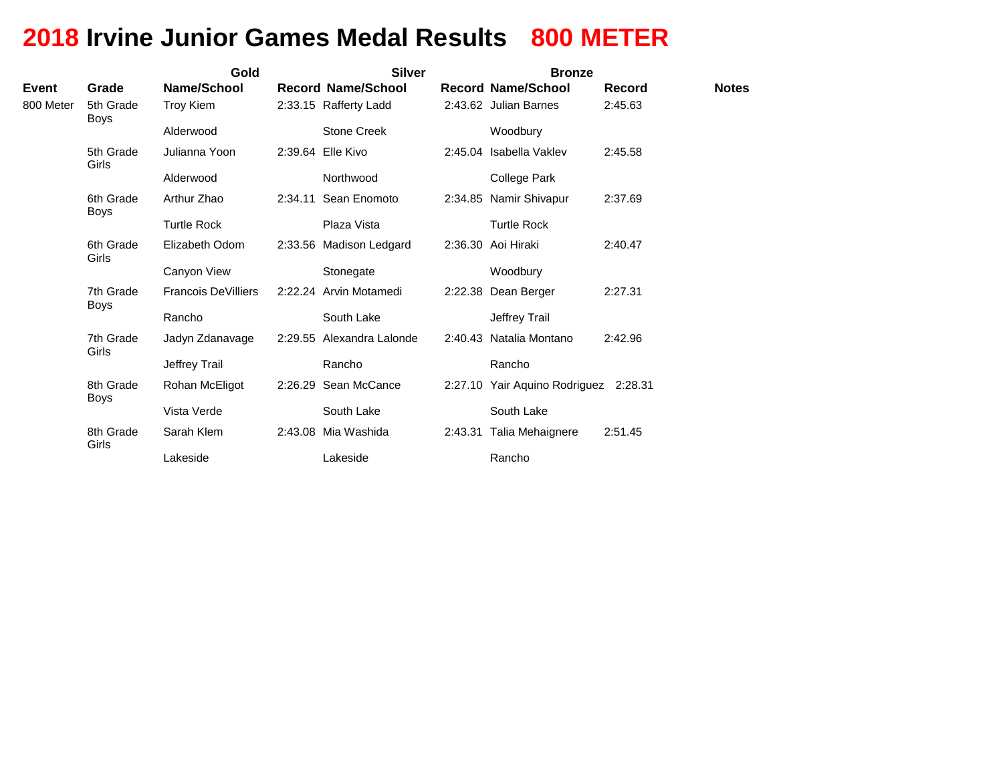# **2018 Irvine Junior Games Medal Results 800 METER**

|              |                          | Gold                       |         | <b>Silver</b>             | <b>Bronze</b>                         |               |              |  |
|--------------|--------------------------|----------------------------|---------|---------------------------|---------------------------------------|---------------|--------------|--|
| <b>Event</b> | Grade                    | Name/School                |         | <b>Record Name/School</b> | <b>Record Name/School</b>             | <b>Record</b> | <b>Notes</b> |  |
| 800 Meter    | 5th Grade<br>Boys        | Troy Kiem                  |         | 2:33.15 Rafferty Ladd     | 2:43.62 Julian Barnes                 | 2:45.63       |              |  |
|              |                          | Alderwood                  |         | <b>Stone Creek</b>        | Woodbury                              |               |              |  |
|              | 5th Grade<br>Girls       | Julianna Yoon              |         | 2:39.64 Elle Kivo         | 2:45.04 Isabella Vakley               | 2:45.58       |              |  |
|              |                          | Alderwood                  |         | Northwood                 | College Park                          |               |              |  |
|              | 6th Grade<br><b>Boys</b> | Arthur Zhao                | 2:34.11 | Sean Enomoto              | 2:34.85 Namir Shivapur                | 2:37.69       |              |  |
|              |                          | <b>Turtle Rock</b>         |         | Plaza Vista               | <b>Turtle Rock</b>                    |               |              |  |
|              | 6th Grade<br>Girls       | Elizabeth Odom             |         | 2:33.56 Madison Ledgard   | 2:36.30 Aoi Hiraki                    | 2:40.47       |              |  |
|              |                          | Canyon View                |         | Stonegate                 | Woodbury                              |               |              |  |
|              | 7th Grade<br><b>Boys</b> | <b>Francois DeVilliers</b> |         | 2:22.24 Arvin Motamedi    | 2:22.38 Dean Berger                   | 2:27.31       |              |  |
|              |                          | Rancho                     |         | South Lake                | <b>Jeffrey Trail</b>                  |               |              |  |
|              | 7th Grade<br>Girls       | Jadyn Zdanavage            |         | 2:29.55 Alexandra Lalonde | 2:40.43 Natalia Montano               | 2:42.96       |              |  |
|              |                          | Jeffrey Trail              |         | Rancho                    | Rancho                                |               |              |  |
|              | 8th Grade<br><b>Boys</b> | Rohan McEligot             |         | 2:26.29 Sean McCance      | 2:27.10 Yair Aquino Rodriguez 2:28.31 |               |              |  |
|              |                          | Vista Verde                |         | South Lake                | South Lake                            |               |              |  |
|              | 8th Grade<br>Girls       | Sarah Klem                 |         | 2:43.08 Mia Washida       | 2:43.31 Talia Mehaignere              | 2:51.45       |              |  |
|              |                          | Lakeside                   |         | Lakeside                  | Rancho                                |               |              |  |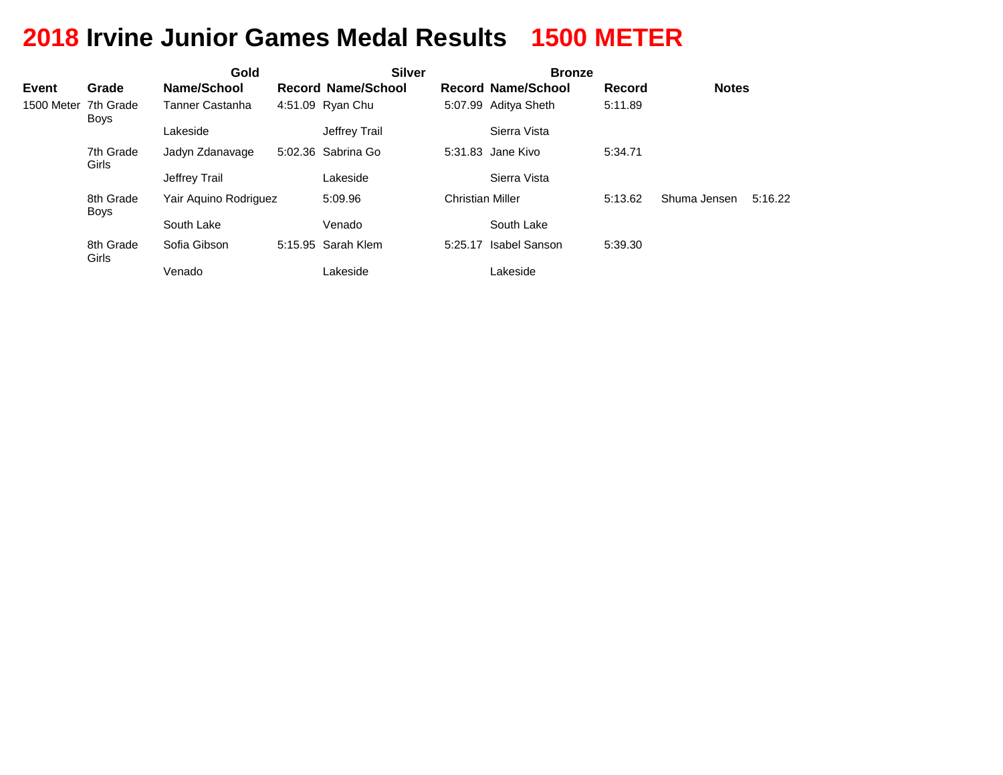# **2018 Irvine Junior Games Medal Results 1500 METER**

|                      |                    | Gold                  |                           | <b>Silver</b>           |                           |         |              |         |
|----------------------|--------------------|-----------------------|---------------------------|-------------------------|---------------------------|---------|--------------|---------|
| <b>Event</b>         | Grade              | Name/School           | <b>Record Name/School</b> |                         | <b>Record Name/School</b> | Record  | <b>Notes</b> |         |
| 1500 Meter 7th Grade | Boys               | Tanner Castanha       | 4:51.09 Ryan Chu          |                         | 5:07.99 Aditya Sheth      | 5:11.89 |              |         |
|                      |                    | Lakeside              | Jeffrey Trail             |                         | Sierra Vista              |         |              |         |
|                      | 7th Grade<br>Girls | Jadyn Zdanavage       | 5:02.36 Sabrina Go        |                         | 5:31.83 Jane Kivo         | 5:34.71 |              |         |
|                      |                    | Jeffrey Trail         | Lakeside                  |                         | Sierra Vista              |         |              |         |
|                      | 8th Grade<br>Boys  | Yair Aguino Rodriguez | 5:09.96                   | <b>Christian Miller</b> |                           | 5:13.62 | Shuma Jensen | 5:16.22 |
|                      |                    | South Lake            | Venado                    |                         | South Lake                |         |              |         |
|                      | 8th Grade<br>Girls | Sofia Gibson          | 5:15.95 Sarah Klem        | 5:25.17                 | Isabel Sanson             | 5:39.30 |              |         |
|                      |                    | Venado                | Lakeside                  |                         | Lakeside                  |         |              |         |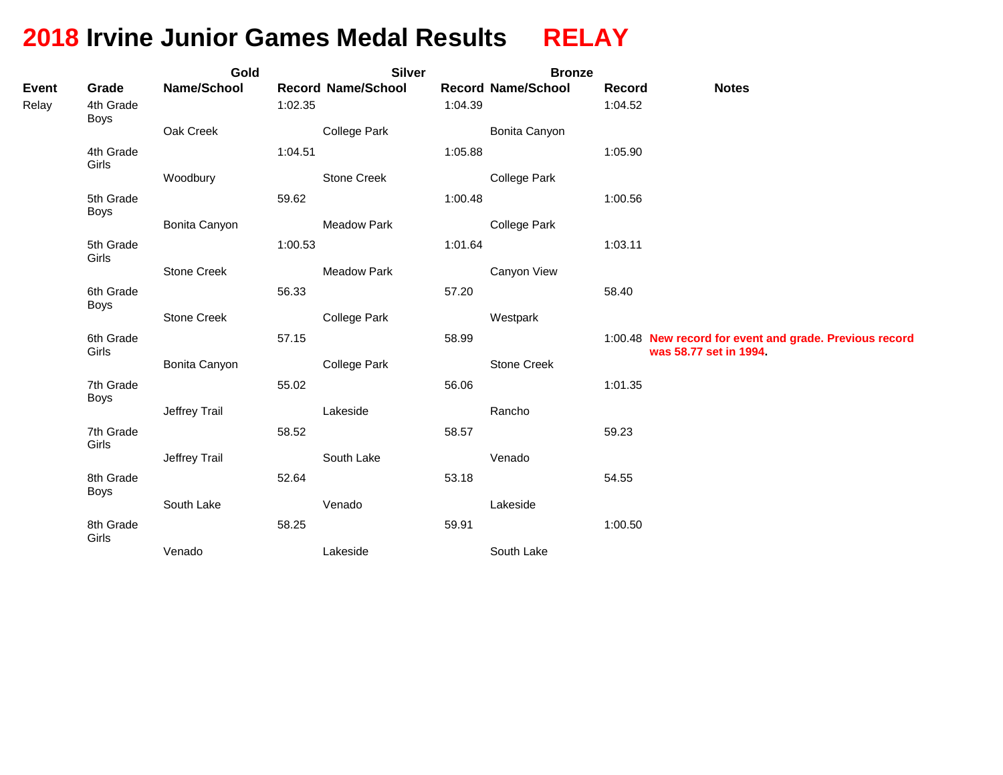# **2018 Irvine Junior Games Medal Results RELAY**

|                       |                                   | Gold          |         | <b>Silver</b>             |         | <b>Bronze</b>             |                   |                                                                                   |
|-----------------------|-----------------------------------|---------------|---------|---------------------------|---------|---------------------------|-------------------|-----------------------------------------------------------------------------------|
| <b>Event</b><br>Relay | Grade<br>4th Grade<br><b>Boys</b> | Name/School   | 1:02.35 | <b>Record Name/School</b> | 1:04.39 | <b>Record Name/School</b> | Record<br>1:04.52 | <b>Notes</b>                                                                      |
|                       |                                   | Oak Creek     |         | <b>College Park</b>       |         | Bonita Canyon             |                   |                                                                                   |
|                       | 4th Grade<br>Girls                |               | 1:04.51 |                           | 1:05.88 |                           | 1:05.90           |                                                                                   |
|                       |                                   | Woodbury      |         | Stone Creek               |         | <b>College Park</b>       |                   |                                                                                   |
|                       | 5th Grade<br><b>Boys</b>          |               | 59.62   |                           | 1:00.48 |                           | 1:00.56           |                                                                                   |
|                       |                                   | Bonita Canyon |         | <b>Meadow Park</b>        |         | <b>College Park</b>       |                   |                                                                                   |
|                       | 5th Grade<br>Girls                |               | 1:00.53 |                           | 1:01.64 |                           | 1:03.11           |                                                                                   |
|                       |                                   | Stone Creek   |         | <b>Meadow Park</b>        |         | Canyon View               |                   |                                                                                   |
|                       | 6th Grade<br>Boys                 |               | 56.33   |                           | 57.20   |                           | 58.40             |                                                                                   |
|                       |                                   | Stone Creek   |         | <b>College Park</b>       |         | Westpark                  |                   |                                                                                   |
|                       | 6th Grade<br>Girls                |               | 57.15   |                           | 58.99   |                           |                   | 1:00.48 New record for event and grade. Previous record<br>was 58.77 set in 1994. |
|                       |                                   | Bonita Canyon |         | <b>College Park</b>       |         | Stone Creek               |                   |                                                                                   |
|                       | 7th Grade<br>Boys                 |               | 55.02   |                           | 56.06   |                           | 1:01.35           |                                                                                   |
|                       |                                   | Jeffrey Trail |         | Lakeside                  |         | Rancho                    |                   |                                                                                   |
|                       | 7th Grade<br>Girls                |               | 58.52   |                           | 58.57   |                           | 59.23             |                                                                                   |
|                       |                                   | Jeffrey Trail |         | South Lake                |         | Venado                    |                   |                                                                                   |
|                       | 8th Grade<br>Boys                 |               | 52.64   |                           | 53.18   |                           | 54.55             |                                                                                   |
|                       |                                   | South Lake    |         | Venado                    |         | Lakeside                  |                   |                                                                                   |
|                       | 8th Grade<br>Girls                |               | 58.25   |                           | 59.91   |                           | 1:00.50           |                                                                                   |
|                       |                                   | Venado        |         | Lakeside                  |         | South Lake                |                   |                                                                                   |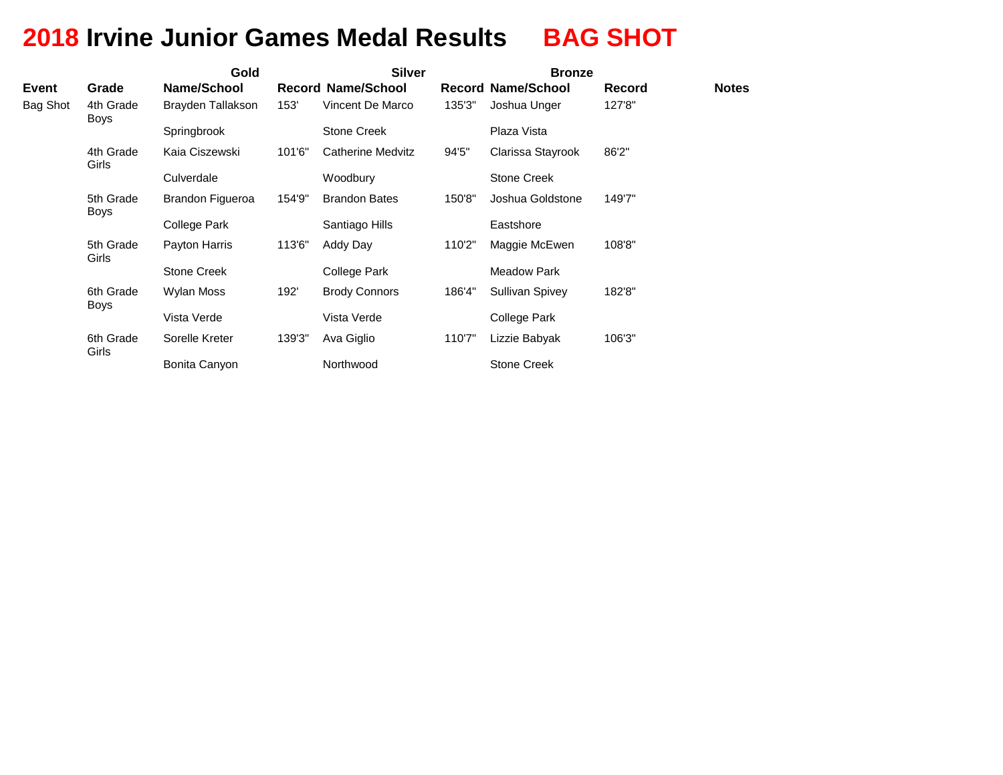# **2018 Irvine Junior Games Medal Results BAG SHOT**

|              |                          | Gold               |        | <b>Silver</b>             |        | <b>Bronze</b>             |        |              |
|--------------|--------------------------|--------------------|--------|---------------------------|--------|---------------------------|--------|--------------|
| <b>Event</b> | Grade                    | Name/School        |        | <b>Record Name/School</b> |        | <b>Record Name/School</b> | Record | <b>Notes</b> |
| Bag Shot     | 4th Grade<br><b>Boys</b> | Brayden Tallakson  | 153'   | Vincent De Marco          | 135'3" | Joshua Unger              | 127'8" |              |
|              |                          | Springbrook        |        | Stone Creek               |        | Plaza Vista               |        |              |
|              | 4th Grade<br>Girls       | Kaia Ciszewski     | 101'6" | <b>Catherine Medvitz</b>  | 94'5"  | Clarissa Stayrook         | 86'2"  |              |
|              |                          | Culverdale         |        | Woodbury                  |        | Stone Creek               |        |              |
|              | 5th Grade<br><b>Boys</b> | Brandon Figueroa   | 154'9" | <b>Brandon Bates</b>      | 150'8" | Joshua Goldstone          | 149'7" |              |
|              |                          | College Park       |        | Santiago Hills            |        | Eastshore                 |        |              |
|              | 5th Grade<br>Girls       | Payton Harris      | 113'6" | Addy Day                  | 110'2" | Maggie McEwen             | 108'8" |              |
|              |                          | <b>Stone Creek</b> |        | College Park              |        | <b>Meadow Park</b>        |        |              |
|              | 6th Grade<br>Boys        | <b>Wylan Moss</b>  | 192'   | <b>Brody Connors</b>      | 186'4" | Sullivan Spivey           | 182'8" |              |
|              |                          | Vista Verde        |        | Vista Verde               |        | College Park              |        |              |
|              | 6th Grade<br>Girls       | Sorelle Kreter     | 139'3" | Ava Giglio                | 110'7" | Lizzie Babyak             | 106'3" |              |
|              |                          | Bonita Canyon      |        | Northwood                 |        | <b>Stone Creek</b>        |        |              |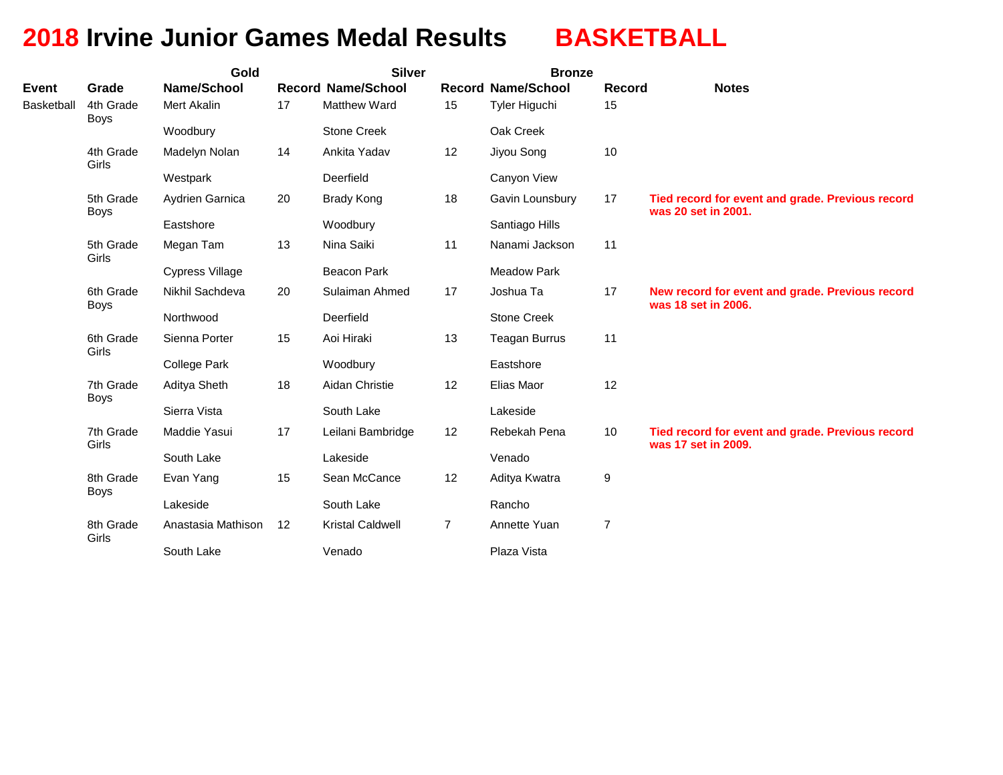# **2018 Irvine Junior Games Medal Results BASKETBALL**

|                                   |                          | Gold                              |    | <b>Silver</b>                                    |                      | <b>Bronze</b>                              |                     |                                                                         |  |  |
|-----------------------------------|--------------------------|-----------------------------------|----|--------------------------------------------------|----------------------|--------------------------------------------|---------------------|-------------------------------------------------------------------------|--|--|
| <b>Event</b><br><b>Basketball</b> | Grade<br>4th Grade       | <b>Name/School</b><br>Mert Akalin | 17 | <b>Record Name/School</b><br><b>Matthew Ward</b> | 15                   | <b>Record Name/School</b><br>Tyler Higuchi | <b>Record</b><br>15 | <b>Notes</b>                                                            |  |  |
|                                   | <b>Boys</b>              | Woodbury                          |    | <b>Stone Creek</b>                               | Oak Creek            |                                            |                     |                                                                         |  |  |
|                                   | 4th Grade<br>Girls       | Madelyn Nolan                     | 14 | Ankita Yadav                                     | 12                   | Jiyou Song                                 | 10                  |                                                                         |  |  |
|                                   |                          | Westpark                          |    | Deerfield                                        |                      | Canyon View                                |                     |                                                                         |  |  |
|                                   | 5th Grade<br><b>Boys</b> | Aydrien Garnica                   | 20 | <b>Brady Kong</b>                                | 18                   | Gavin Lounsbury                            | 17                  | Tied record for event and grade. Previous record<br>was 20 set in 2001. |  |  |
|                                   |                          | Eastshore                         |    | Woodbury                                         |                      | Santiago Hills                             |                     |                                                                         |  |  |
|                                   | 5th Grade<br>Girls       | Megan Tam                         | 13 | Nina Saiki                                       | 11                   | Nanami Jackson                             | 11                  |                                                                         |  |  |
|                                   |                          | <b>Cypress Village</b>            |    | <b>Beacon Park</b>                               |                      | <b>Meadow Park</b>                         |                     |                                                                         |  |  |
|                                   | 6th Grade<br><b>Boys</b> | Nikhil Sachdeva                   | 20 | Sulaiman Ahmed                                   | 17                   | Joshua Ta                                  | 17                  | New record for event and grade. Previous record<br>was 18 set in 2006.  |  |  |
|                                   |                          | Northwood                         |    | Deerfield                                        |                      | <b>Stone Creek</b>                         |                     |                                                                         |  |  |
|                                   | 6th Grade<br>Girls       | Sienna Porter                     | 15 | Aoi Hiraki                                       | 13                   | <b>Teagan Burrus</b>                       | 11                  |                                                                         |  |  |
|                                   |                          | College Park                      |    | Woodbury                                         |                      | Eastshore                                  |                     |                                                                         |  |  |
|                                   | 7th Grade<br>Boys        | Aditya Sheth                      | 18 | Aidan Christie                                   | 12                   | Elias Maor                                 | 12                  |                                                                         |  |  |
|                                   |                          | Sierra Vista                      |    | South Lake                                       |                      | Lakeside                                   |                     |                                                                         |  |  |
|                                   | 7th Grade<br>Girls       | Maddie Yasui                      | 17 | Leilani Bambridge                                | 12                   | Rebekah Pena                               | 10                  | Tied record for event and grade. Previous record<br>was 17 set in 2009. |  |  |
|                                   |                          | South Lake                        |    | Lakeside                                         |                      | Venado                                     |                     |                                                                         |  |  |
|                                   | 8th Grade<br><b>Boys</b> | Evan Yang                         | 15 | Sean McCance                                     | 12                   | Aditya Kwatra                              | 9                   |                                                                         |  |  |
|                                   |                          | Lakeside                          |    |                                                  | South Lake<br>Rancho |                                            |                     |                                                                         |  |  |
|                                   | 8th Grade<br>Girls       | Anastasia Mathison                | 12 | Kristal Caldwell                                 | $\overline{7}$       | Annette Yuan                               | $\overline{7}$      |                                                                         |  |  |
|                                   |                          | South Lake                        |    | Venado                                           |                      | Plaza Vista                                |                     |                                                                         |  |  |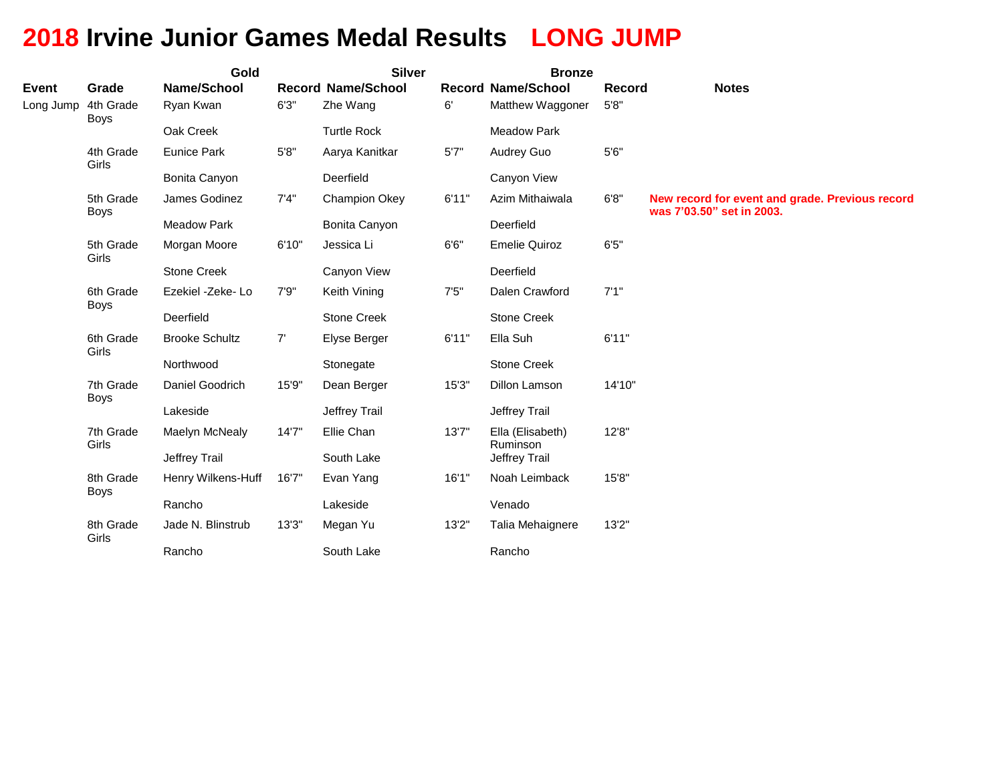# **2018 Irvine Junior Games Medal Results LONG JUMP**

|              |                          | Gold                  |        | <b>Silver</b>             |       | <b>Bronze</b>                |        |                                                                              |
|--------------|--------------------------|-----------------------|--------|---------------------------|-------|------------------------------|--------|------------------------------------------------------------------------------|
| <b>Event</b> | Grade                    | Name/School           |        | <b>Record Name/School</b> |       | <b>Record Name/School</b>    | Record | <b>Notes</b>                                                                 |
| Long Jump    | 4th Grade<br><b>Boys</b> | Ryan Kwan             | 6'3''  | Zhe Wang                  | 6'    | Matthew Waggoner             | 5'8''  |                                                                              |
|              |                          | Oak Creek             |        | <b>Turtle Rock</b>        |       | <b>Meadow Park</b>           |        |                                                                              |
|              | 4th Grade<br>Girls       | <b>Eunice Park</b>    | 5'8''  | Aarya Kanitkar            | 5'7'' | Audrey Guo                   | $5'6"$ |                                                                              |
|              |                          | Bonita Canyon         |        | Deerfield                 |       | Canyon View                  |        |                                                                              |
|              | 5th Grade<br><b>Boys</b> | James Godinez         | 7'4''  | <b>Champion Okey</b>      | 6'11" | Azim Mithaiwala              | 6'8''  | New record for event and grade. Previous record<br>was 7'03.50" set in 2003. |
|              |                          | <b>Meadow Park</b>    |        | Bonita Canyon             |       | Deerfield                    |        |                                                                              |
|              | 5th Grade<br>Girls       | Morgan Moore          | 6'10"  | Jessica Li                | 6'6'' | <b>Emelie Quiroz</b>         | 6'5''  |                                                                              |
|              |                          | Stone Creek           |        | Canyon View               |       | Deerfield                    |        |                                                                              |
|              | 6th Grade<br><b>Boys</b> | Ezekiel -Zeke- Lo     | 7'9''  | Keith Vining              | 7'5'' | Dalen Crawford               | 7'1''  |                                                                              |
|              |                          | Deerfield             |        | <b>Stone Creek</b>        |       | <b>Stone Creek</b>           |        |                                                                              |
|              | 6th Grade<br>Girls       | <b>Brooke Schultz</b> | 7'     | Elyse Berger              | 6'11" | Ella Suh                     | 6'11"  |                                                                              |
|              |                          | Northwood             |        | Stonegate                 |       | <b>Stone Creek</b>           |        |                                                                              |
|              | 7th Grade<br><b>Boys</b> | Daniel Goodrich       | 15'9"  | Dean Berger               | 15'3" | Dillon Lamson                | 14'10" |                                                                              |
|              |                          | Lakeside              |        | Jeffrey Trail             |       | Jeffrey Trail                |        |                                                                              |
|              | 7th Grade<br>Girls       | Maelyn McNealy        | 14'7'' | Ellie Chan                | 13'7" | Ella (Elisabeth)<br>Ruminson | 12'8"  |                                                                              |
|              |                          | Jeffrey Trail         |        | South Lake                |       | Jeffrey Trail                |        |                                                                              |
|              | 8th Grade<br><b>Boys</b> | Henry Wilkens-Huff    | 16'7"  | Evan Yang                 | 16'1" | Noah Leimback                | 15'8"  |                                                                              |
|              |                          | Rancho                |        | Lakeside                  |       | Venado                       |        |                                                                              |
|              | 8th Grade<br>Girls       | Jade N. Blinstrub     | 13'3'' | Megan Yu                  | 13'2" | Talia Mehaignere             | 13'2"  |                                                                              |
|              |                          | Rancho                |        | South Lake                |       | Rancho                       |        |                                                                              |